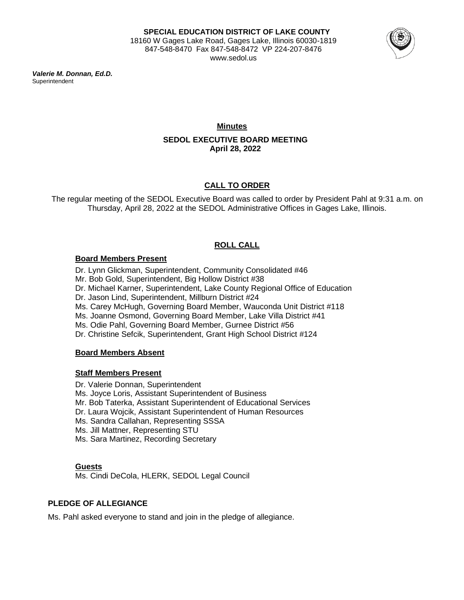

*Valerie M. Donnan, Ed.D.* **Superintendent** 

> **Minutes SEDOL EXECUTIVE BOARD MEETING April 28, 2022**

# **CALL TO ORDER**

The regular meeting of the SEDOL Executive Board was called to order by President Pahl at 9:31 a.m. on Thursday, April 28, 2022 at the SEDOL Administrative Offices in Gages Lake, Illinois.

# **ROLL CALL**

### **Board Members Present**

Dr. Lynn Glickman, Superintendent, Community Consolidated #46 Mr. Bob Gold, Superintendent, Big Hollow District #38 Dr. Michael Karner, Superintendent, Lake County Regional Office of Education Dr. Jason Lind, Superintendent, Millburn District #24 Ms. Carey McHugh, Governing Board Member, Wauconda Unit District #118 Ms. Joanne Osmond, Governing Board Member, Lake Villa District #41 Ms. Odie Pahl, Governing Board Member, Gurnee District #56 Dr. Christine Sefcik, Superintendent, Grant High School District #124

# **Board Members Absent**

### **Staff Members Present**

Dr. Valerie Donnan, Superintendent Ms. Joyce Loris, Assistant Superintendent of Business Mr. Bob Taterka, Assistant Superintendent of Educational Services Dr. Laura Wojcik, Assistant Superintendent of Human Resources Ms. Sandra Callahan, Representing SSSA Ms. Jill Mattner, Representing STU Ms. Sara Martinez, Recording Secretary

### **Guests**

Ms. Cindi DeCola, HLERK, SEDOL Legal Council

# **PLEDGE OF ALLEGIANCE**

Ms. Pahl asked everyone to stand and join in the pledge of allegiance.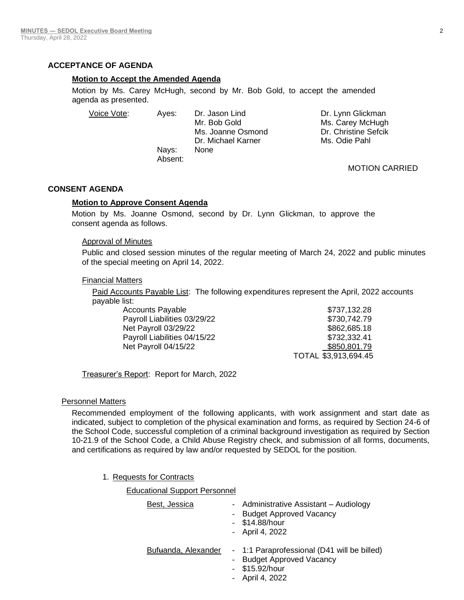### **ACCEPTANCE OF AGENDA**

### **Motion to Accept the Amended Agenda**

Motion by Ms. Carey McHugh, second by Mr. Bob Gold, to accept the amended agenda as presented.

Voice Vote: Ayes: Dr. Jason Lind Dr. Lynn Glickman Mr. Bob Gold Ms. Carey McHugh Ms. Joanne Osmond Dr. Christine Sefcik Dr. Michael Karner Ms. Odie Pahl Nays: None Absent:

### MOTION CARRIED

### **CONSENT AGENDA**

### **Motion to Approve Consent Agenda**

Motion by Ms. Joanne Osmond, second by Dr. Lynn Glickman, to approve the consent agenda as follows.

### Approval of Minutes

Public and closed session minutes of the regular meeting of March 24, 2022 and public minutes of the special meeting on April 14, 2022.

### Financial Matters

Paid Accounts Payable List: The following expenditures represent the April, 2022 accounts payable list:

| Accounts Payable             | \$737,132.28         |
|------------------------------|----------------------|
| Payroll Liabilities 03/29/22 | \$730,742.79         |
| Net Payroll 03/29/22         | \$862,685.18         |
| Payroll Liabilities 04/15/22 | \$732,332.41         |
| Net Payroll 04/15/22         | \$850,801.79         |
|                              | TOTAL \$3,913,694.45 |

Treasurer's Report: Report for March, 2022

### Personnel Matters

Recommended employment of the following applicants, with work assignment and start date as indicated, subject to completion of the physical examination and forms, as required by Section 24-6 of the School Code, successful completion of a criminal background investigation as required by Section 10-21.9 of the School Code, a Child Abuse Registry check, and submission of all forms, documents, and certifications as required by law and/or requested by SEDOL for the position.

1. Requests for Contracts

### Educational Support Personnel

| Best, Jessica       | - Administrative Assistant - Audiology<br><b>Budget Approved Vacancy</b><br>$ \,$<br>- \$14.88/hour<br>- April 4, 2022 |
|---------------------|------------------------------------------------------------------------------------------------------------------------|
| Bufuanda, Alexander | - 1:1 Paraprofessional (D41 will be billed)<br><b>Budget Approved Vacancy</b><br>- \$15.92/hour<br>- April 4, 2022     |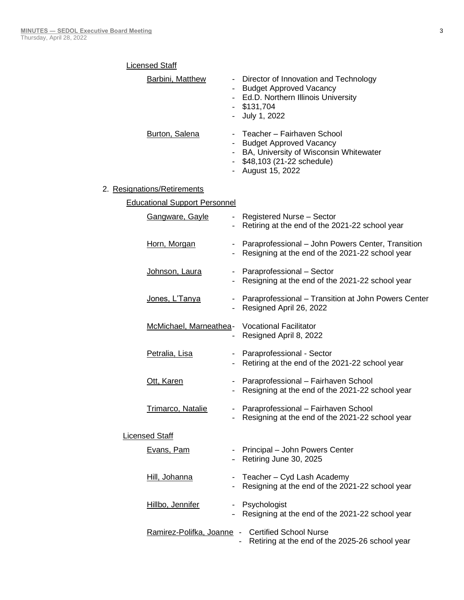| <b>Licensed Staff</b>                            |                                                                                                                                                          |
|--------------------------------------------------|----------------------------------------------------------------------------------------------------------------------------------------------------------|
| <b>Barbini, Matthew</b>                          | Director of Innovation and Technology<br><b>Budget Approved Vacancy</b><br>- Ed.D. Northern Illinois University<br>$-$ \$131,704<br>July 1, 2022         |
| Burton, Salena                                   | Teacher - Fairhaven School<br><b>Budget Approved Vacancy</b><br>BA, University of Wisconsin Whitewater<br>\$48,103 (21-22 schedule)<br>- August 15, 2022 |
| 2. Resignations/Retirements                      |                                                                                                                                                          |
| <b>Educational Support Personnel</b>             |                                                                                                                                                          |
| <b>Gangware, Gayle</b>                           | - Registered Nurse - Sector<br>Retiring at the end of the 2021-22 school year                                                                            |
| Horn, Morgan<br>$\blacksquare$                   | Paraprofessional - John Powers Center, Transition<br>Resigning at the end of the 2021-22 school year                                                     |
| Johnson, Laura<br>$\blacksquare$                 | Paraprofessional - Sector<br>Resigning at the end of the 2021-22 school year                                                                             |
| Jones, L'Tanya<br>$\qquad \qquad \blacksquare$   | Paraprofessional - Transition at John Powers Center<br>Resigned April 26, 2022                                                                           |
| McMichael, Marneathea - Vocational Facilitator   | Resigned April 8, 2022                                                                                                                                   |
| Petralia, Lisa<br>$\overline{\phantom{a}}$       | Paraprofessional - Sector<br>Retiring at the end of the 2021-22 school year                                                                              |
| Ott, Karen<br>$\blacksquare$                     | Paraprofessional - Fairhaven School<br>Resigning at the end of the 2021-22 school year                                                                   |
| <b>Trimarco, Natalie</b>                         | Paraprofessional - Fairhaven School<br>Resigning at the end of the 2021-22 school year                                                                   |
| Licensed Staff                                   |                                                                                                                                                          |
| Evans, Pam                                       | Principal - John Powers Center<br>Retiring June 30, 2025                                                                                                 |
| Hill, Johanna                                    | Teacher - Cyd Lash Academy<br>Resigning at the end of the 2021-22 school year                                                                            |
| Hillbo, Jennifer<br>$\qquad \qquad \blacksquare$ | Psychologist<br>Resigning at the end of the 2021-22 school year                                                                                          |
|                                                  | Ramirez-Polifka, Joanne - Certified School Nurse<br>Retiring at the end of the 2025-26 school year                                                       |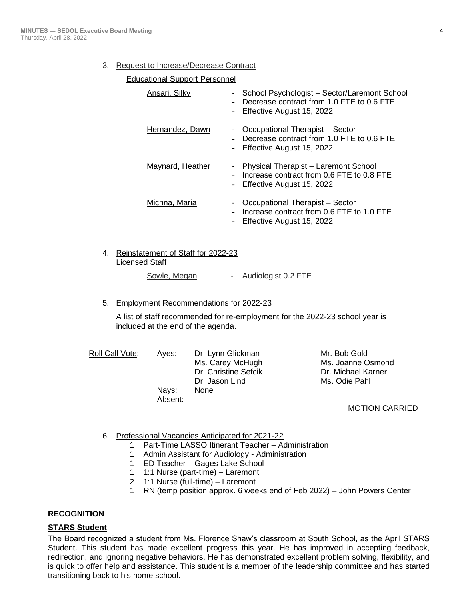### 3. Request to Increase/Decrease Contract

### Educational Support Personnel

| Ansari, Silky    | School Psychologist - Sector/Laremont School<br>٠<br>Decrease contract from 1.0 FTE to 0.6 FTE<br>Effective August 15, 2022<br>$\overline{\phantom{a}}$     |
|------------------|-------------------------------------------------------------------------------------------------------------------------------------------------------------|
| Hernandez, Dawn  | Occupational Therapist - Sector<br>$\qquad \qquad \blacksquare$<br>Decrease contract from 1.0 FTE to 0.6 FTE<br>Effective August 15, 2022<br>$\blacksquare$ |
| Maynard, Heather | Physical Therapist - Laremont School<br>۰.<br>Increase contract from 0.6 FTE to 0.8 FTE<br>- Effective August 15, 2022                                      |
| Michna, Maria    | Occupational Therapist - Sector<br>-<br>Increase contract from 0.6 FTE to 1.0 FTE<br>Effective August 15, 2022                                              |

# 4. Reinstatement of Staff for 2022-23 Licensed Staff

# Sowle, Megan - Audiologist 0.2 FTE

5. Employment Recommendations for 2022-23

A list of staff recommended for re-employment for the 2022-23 school year is included at the end of the agenda.

| Roll Call Vote: | Aves:   | Dr. Lynn Glickman    | Mr. Bob Gold       |
|-----------------|---------|----------------------|--------------------|
|                 |         | Ms. Carey McHugh     | Ms. Joanne Osmond  |
|                 |         | Dr. Christine Sefcik | Dr. Michael Karner |
|                 |         | Dr. Jason Lind       | Ms. Odie Pahl      |
|                 | Navs:   | <b>None</b>          |                    |
|                 | Absent: |                      |                    |

### MOTION CARRIED

- 6. Professional Vacancies Anticipated for 2021-22
	- 1 Part-Time LASSO Itinerant Teacher Administration
	- 1 Admin Assistant for Audiology Administration
	- 1 ED Teacher Gages Lake School
	- 1 1:1 Nurse (part-time) Laremont
	- 2 1:1 Nurse (full-time) Laremont
	- 1 RN (temp position approx. 6 weeks end of Feb 2022) John Powers Center

### **RECOGNITION**

### **STARS Student**

The Board recognized a student from Ms. Florence Shaw's classroom at South School, as the April STARS Student. This student has made excellent progress this year. He has improved in accepting feedback, redirection, and ignoring negative behaviors. He has demonstrated excellent problem solving, flexibility, and is quick to offer help and assistance. This student is a member of the leadership committee and has started transitioning back to his home school.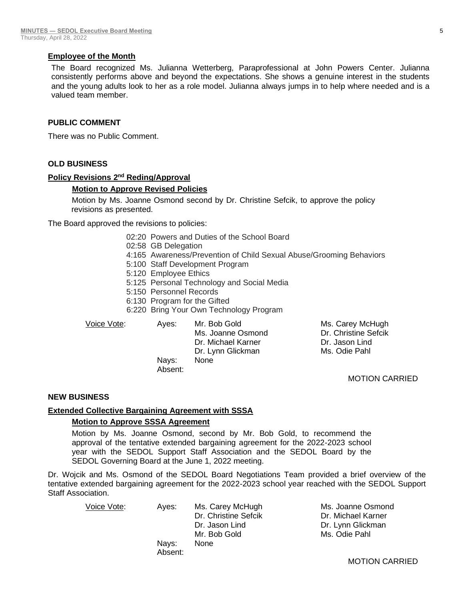### **Employee of the Month**

The Board recognized Ms. Julianna Wetterberg, Paraprofessional at John Powers Center. Julianna consistently performs above and beyond the expectations. She shows a genuine interest in the students and the young adults look to her as a role model. Julianna always jumps in to help where needed and is a valued team member.

### **PUBLIC COMMENT**

There was no Public Comment.

### **OLD BUSINESS**

### **Policy Revisions 2<sup>nd</sup> Reding/Approval**

### **Motion to Approve Revised Policies**

Motion by Ms. Joanne Osmond second by Dr. Christine Sefcik, to approve the policy revisions as presented.

The Board approved the revisions to policies:

- 02:20 Powers and Duties of the School Board
- 02:58 GB Delegation
- 4:165 Awareness/Prevention of Child Sexual Abuse/Grooming Behaviors
- 5:100 Staff Development Program
- 5:120 Employee Ethics
- 5:125 Personal Technology and Social Media
- 5:150 Personnel Records
- 6:130 Program for the Gifted
- 6:220 Bring Your Own Technology Program

Voice Vote: Ayes: Mr. Bob Gold Ms. Carey McHugh Ms. Joanne Osmond Dr. Christine Sefcik Dr. Michael Karner Dr. Jason Lind Dr. Lynn Glickman Ms. Odie Pahl Nays: None Absent:

#### MOTION CARRIED

### **NEW BUSINESS**

### **Extended Collective Bargaining Agreement with SSSA**

Absent:

### **Motion to Approve SSSA Agreement**

Motion by Ms. Joanne Osmond, second by Mr. Bob Gold, to recommend the approval of the tentative extended bargaining agreement for the 2022-2023 school year with the SEDOL Support Staff Association and the SEDOL Board by the SEDOL Governing Board at the June 1, 2022 meeting.

Dr. Wojcik and Ms. Osmond of the SEDOL Board Negotiations Team provided a brief overview of the tentative extended bargaining agreement for the 2022-2023 school year reached with the SEDOL Support Staff Association.

Voice Vote: Ayes: Ms. Carey McHugh Ms. Joanne Osmond Dr. Christine Sefcik Dr. Michael Karner Dr. Jason Lind Dr. Lynn Glickman Mr. Bob Gold Ms. Odie Pahl Nays: None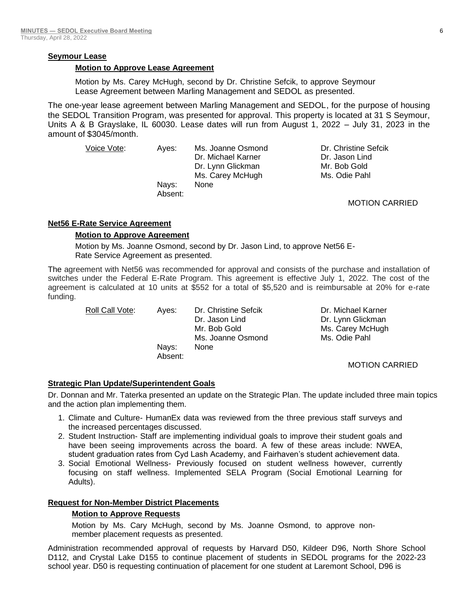### **Seymour Lease**

### **Motion to Approve Lease Agreement**

Motion by Ms. Carey McHugh, second by Dr. Christine Sefcik, to approve Seymour Lease Agreement between Marling Management and SEDOL as presented.

The one-year lease agreement between Marling Management and SEDOL, for the purpose of housing the SEDOL Transition Program, was presented for approval. This property is located at 31 S Seymour, Units A & B Grayslake, IL 60030. Lease dates will run from August 1, 2022 – July 31, 2023 in the amount of \$3045/month.

| Voice Vote: | Aves:   | Ms. Joanne Osmond  | Dr. Christine Sefcik  |
|-------------|---------|--------------------|-----------------------|
|             |         | Dr. Michael Karner | Dr. Jason Lind        |
|             |         | Dr. Lynn Glickman  | Mr. Bob Gold          |
|             |         | Ms. Carey McHugh   | Ms. Odie Pahl         |
|             | Navs:   | None               |                       |
|             | Absent: |                    |                       |
|             |         |                    | <b>MOTION CARRIED</b> |

### **Net56 E-Rate Service Agreement**

### **Motion to Approve Agreement**

Motion by Ms. Joanne Osmond, second by Dr. Jason Lind, to approve Net56 E-Rate Service Agreement as presented.

The agreement with Net56 was recommended for approval and consists of the purchase and installation of switches under the Federal E-Rate Program. This agreement is effective July 1, 2022. The cost of the agreement is calculated at 10 units at \$552 for a total of \$5,520 and is reimbursable at 20% for e-rate funding.

Roll Call Vote: Ayes: Dr. Christine Sefcik Dr. Michael Karner Dr. Jason Lind Dr. Lynn Glickman Mr. Bob Gold Ms. Carey McHugh Ms. Joanne Osmond Ms. Odie Pahl Nays: None Absent:

MOTION CARRIED

### **Strategic Plan Update/Superintendent Goals**

Dr. Donnan and Mr. Taterka presented an update on the Strategic Plan. The update included three main topics and the action plan implementing them.

- 1. Climate and Culture- HumanEx data was reviewed from the three previous staff surveys and the increased percentages discussed.
- 2. Student Instruction- Staff are implementing individual goals to improve their student goals and have been seeing improvements across the board. A few of these areas include: NWEA, student graduation rates from Cyd Lash Academy, and Fairhaven's student achievement data.
- 3. Social Emotional Wellness- Previously focused on student wellness however, currently focusing on staff wellness. Implemented SELA Program (Social Emotional Learning for Adults).

### **Request for Non-Member District Placements**

### **Motion to Approve Requests**

Motion by Ms. Cary McHugh, second by Ms. Joanne Osmond, to approve nonmember placement requests as presented.

Administration recommended approval of requests by Harvard D50, Kildeer D96, North Shore School D112, and Crystal Lake D155 to continue placement of students in SEDOL programs for the 2022-23 school year. D50 is requesting continuation of placement for one student at Laremont School, D96 is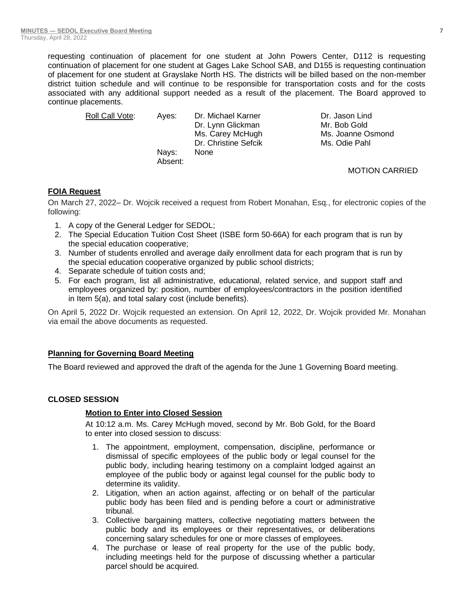requesting continuation of placement for one student at John Powers Center, D112 is requesting continuation of placement for one student at Gages Lake School SAB, and D155 is requesting continuation of placement for one student at Grayslake North HS. The districts will be billed based on the non-member district tuition schedule and will continue to be responsible for transportation costs and for the costs associated with any additional support needed as a result of the placement. The Board approved to continue placements.

| Roll Call Vote: | Aves:   | Dr. Michael Karner   | Dr. Jason Lind        |
|-----------------|---------|----------------------|-----------------------|
|                 |         | Dr. Lynn Glickman    | Mr. Bob Gold          |
|                 |         | Ms. Carey McHugh     | Ms. Joanne Osmond     |
|                 |         | Dr. Christine Sefcik | Ms. Odie Pahl         |
|                 | Nays:   | <b>None</b>          |                       |
|                 | Absent: |                      |                       |
|                 |         |                      | <b>MOTION CARRIED</b> |

### **FOIA Request**

On March 27, 2022– Dr. Wojcik received a request from Robert Monahan, Esq., for electronic copies of the following:

- 1. A copy of the General Ledger for SEDOL;
- 2. The Special Education Tuition Cost Sheet (ISBE form 50-66A) for each program that is run by the special education cooperative;
- 3. Number of students enrolled and average daily enrollment data for each program that is run by the special education cooperative organized by public school districts;
- 4. Separate schedule of tuition costs and;
- 5. For each program, list all administrative, educational, related service, and support staff and employees organized by: position, number of employees/contractors in the position identified in Item 5(a), and total salary cost (include benefits).

On April 5, 2022 Dr. Wojcik requested an extension. On April 12, 2022, Dr. Wojcik provided Mr. Monahan via email the above documents as requested.

### **Planning for Governing Board Meeting**

The Board reviewed and approved the draft of the agenda for the June 1 Governing Board meeting.

### **CLOSED SESSION**

### **Motion to Enter into Closed Session**

At 10:12 a.m. Ms. Carey McHugh moved, second by Mr. Bob Gold, for the Board to enter into closed session to discuss:

- 1. The appointment, employment, compensation, discipline, performance or dismissal of specific employees of the public body or legal counsel for the public body, including hearing testimony on a complaint lodged against an employee of the public body or against legal counsel for the public body to determine its validity.
- 2. Litigation, when an action against, affecting or on behalf of the particular public body has been filed and is pending before a court or administrative tribunal.
- 3. Collective bargaining matters, collective negotiating matters between the public body and its employees or their representatives, or deliberations concerning salary schedules for one or more classes of employees.
- 4. The purchase or lease of real property for the use of the public body, including meetings held for the purpose of discussing whether a particular parcel should be acquired.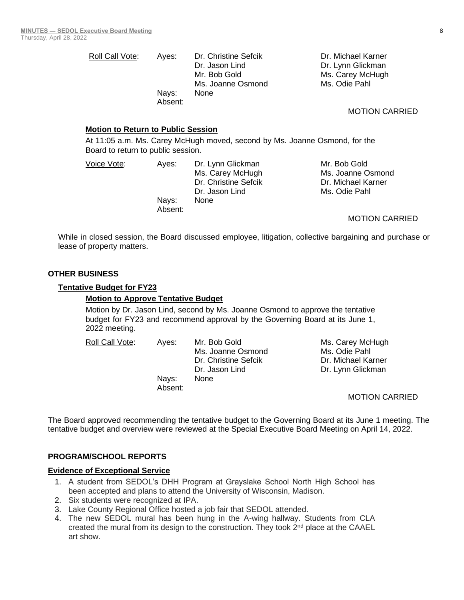| Roll Call Vote: | Aves:   | Dr. Christine Sefcik | Dr. Michael Karner |
|-----------------|---------|----------------------|--------------------|
|                 |         | Dr. Jason Lind       | Dr. Lynn Glickman  |
|                 |         | Mr. Bob Gold         | Ms. Carey McHugh   |
|                 |         | Ms. Joanne Osmond    | Ms. Odie Pahl      |
|                 | Navs:   | None                 |                    |
|                 | Absent: |                      |                    |

#### **Motion to Return to Public Session**

Absent:

At 11:05 a.m. Ms. Carey McHugh moved, second by Ms. Joanne Osmond, for the Board to return to public session.

Voice Vote: Ayes: Dr. Lynn Glickman Mr. Bob Gold Dr. Christine Sefcik Dr. Michael Karner Dr. Jason Lind Ms. Odie Pahl Nays: None

Ms. Carey McHugh Ms. Joanne Osmond

MOTION CARRIED

MOTION CARRIED

While in closed session, the Board discussed employee, litigation, collective bargaining and purchase or lease of property matters.

#### **OTHER BUSINESS**

#### **Tentative Budget for FY23**

#### **Motion to Approve Tentative Budget**

Motion by Dr. Jason Lind, second by Ms. Joanne Osmond to approve the tentative budget for FY23 and recommend approval by the Governing Board at its June 1, 2022 meeting.

Roll Call Vote: Ayes: Mr. Bob Gold Ms. Carey McHugh Ms. Joanne Osmond Ms. Odie Pahl Dr. Christine Sefcik Dr. Michael Karner Dr. Jason Lind Dr. Lynn Glickman Nays: None

MOTION CARRIED

The Board approved recommending the tentative budget to the Governing Board at its June 1 meeting. The tentative budget and overview were reviewed at the Special Executive Board Meeting on April 14, 2022.

#### **PROGRAM/SCHOOL REPORTS**

### **Evidence of Exceptional Service**

- 1. A student from SEDOL's DHH Program at Grayslake School North High School has been accepted and plans to attend the University of Wisconsin, Madison.
- 2. Six students were recognized at IPA.
- 3. Lake County Regional Office hosted a job fair that SEDOL attended.

Absent:

4. The new SEDOL mural has been hung in the A-wing hallway. Students from CLA created the mural from its design to the construction. They took  $2<sup>nd</sup>$  place at the CAAEL art show.